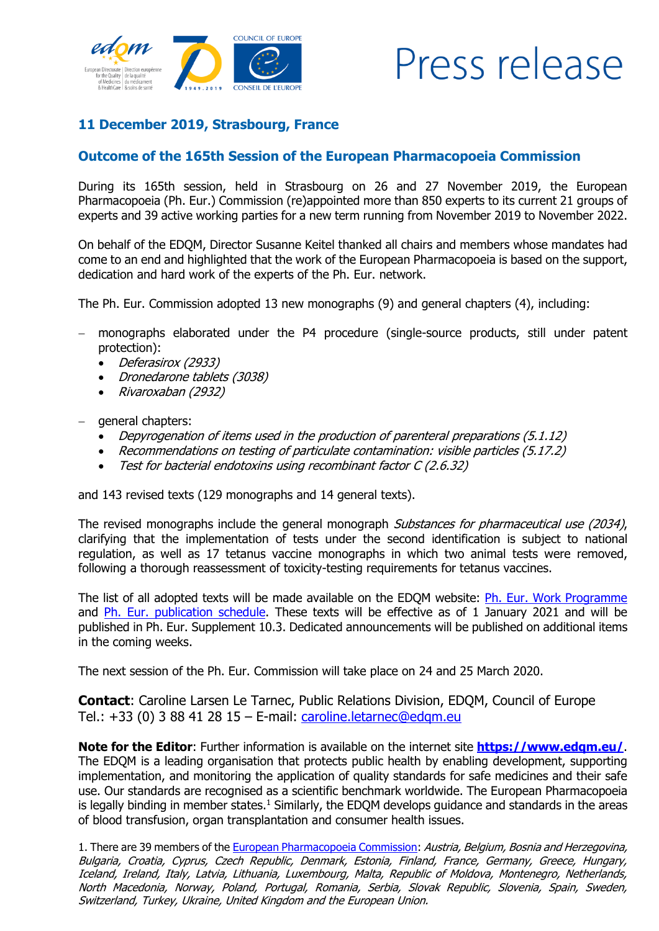

## Press release

## **11 December 2019, Strasbourg, France**

## **Outcome of the 165th Session of the European Pharmacopoeia Commission**

During its 165th session, held in Strasbourg on 26 and 27 November 2019, the European Pharmacopoeia (Ph. Eur.) Commission (re)appointed more than 850 experts to its current 21 groups of experts and 39 active working parties for a new term running from November 2019 to November 2022.

On behalf of the EDQM, Director Susanne Keitel thanked all chairs and members whose mandates had come to an end and highlighted that the work of the European Pharmacopoeia is based on the support, dedication and hard work of the experts of the Ph. Eur. network.

The Ph. Eur. Commission adopted 13 new monographs (9) and general chapters (4), including:

- monographs elaborated under the P4 procedure (single-source products, still under patent protection):
	- Deferasirox (2933)
	- Dronedarone tablets (3038)
	- Rivaroxaban (2932)
- general chapters:
	- Depyrogenation of items used in the production of parenteral preparations (5.1.12)
	- Recommendations on testing of particulate contamination: visible particles (5.17.2)
	- Test for bacterial endotoxins using recombinant factor C (2.6.32)

and 143 revised texts (129 monographs and 14 general texts).

The revised monographs include the general monograph *Substances for pharmaceutical use (2034)*, clarifying that the implementation of tests under the second identification is subject to national regulation, as well as 17 tetanus vaccine monographs in which two animal tests were removed, following a thorough reassessment of toxicity-testing requirements for tetanus vaccines.

The list of all adopted texts will be made available on the EDQM website: [Ph. Eur. Work Programme](https://www.edqm.eu/en/european-pharmacopoeia-work-programme-607.html) and [Ph. Eur. publication schedule.](https://www.edqm.eu/sites/default/files/ph._eur._10th_edition_publication_schedule_0.pdf) These texts will be effective as of 1 January 2021 and will be published in Ph. Eur. Supplement 10.3. Dedicated announcements will be published on additional items in the coming weeks.

The next session of the Ph. Eur. Commission will take place on 24 and 25 March 2020.

**Contact**: Caroline Larsen Le Tarnec, Public Relations Division, EDQM, Council of Europe Tel.: +33 (0) 3 88 41 28 15 – E-mail: [caroline.letarnec@edqm.eu](mailto:caroline.letarnec@edqm.eu)

**Note for the Editor**: Further information is available on the internet site **<https://www.edqm.eu/>**. The EDQM is a leading organisation that protects public health by enabling development, supporting implementation, and monitoring the application of quality standards for safe medicines and their safe use. Our standards are recognised as a scientific benchmark worldwide. The European Pharmacopoeia is legally binding in member states.<sup>1</sup> Similarly, the EDQM develops guidance and standards in the areas of blood transfusion, organ transplantation and consumer health issues.

1. There are 39 members of the [European Pharmacopoeia Commission:](https://www.edqm.eu/en/european-pharmacopoeia-membership-observership-608.html) Austria, Belgium, Bosnia and Herzegovina, Bulgaria, Croatia, Cyprus, Czech Republic, Denmark, Estonia, Finland, France, Germany, Greece, Hungary, Iceland, Ireland, Italy, Latvia, Lithuania, Luxembourg, Malta, Republic of Moldova, Montenegro, Netherlands, North Macedonia, Norway, Poland, Portugal, Romania, Serbia, Slovak Republic, Slovenia, Spain, Sweden, Switzerland, Turkey, Ukraine, United Kingdom and the European Union.